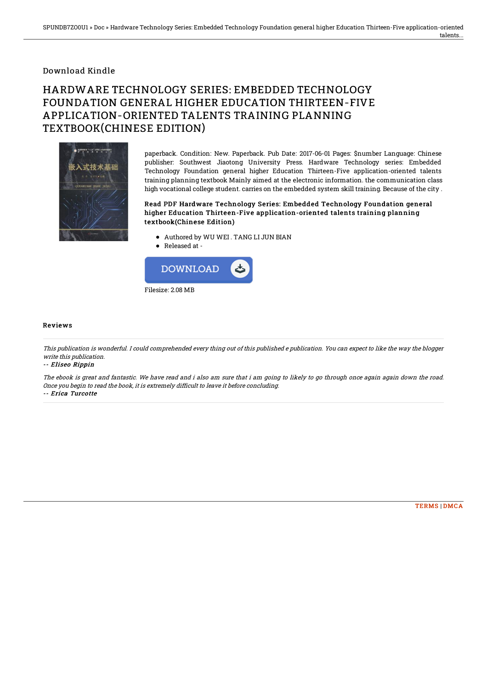### Download Kindle

# HARDWARE TECHNOLOGY SERIES: EMBEDDED TECHNOLOGY FOUNDATION GENERAL HIGHER EDUCATION THIRTEEN-FIVE APPLICATION-ORIENTED TALENTS TRAINING PLANNING TEXTBOOK(CHINESE EDITION)



paperback. Condition: New. Paperback. Pub Date: 2017-06-01 Pages: \$number Language: Chinese publisher: Southwest Jiaotong University Press. Hardware Technology series: Embedded Technology Foundation general higher Education Thirteen-Five application-oriented talents training planning textbook Mainly aimed at the electronic information. the communication class high vocational college student. carries on the embedded system skill training. Because of the city .

#### Read PDF Hardware Technology Series: Embedded Technology Foundation general higher Education Thirteen-Five application-oriented talents t raining planning textbook(Chinese Edition)

- Authored by WU WEI . TANG LI JUN BIAN
- Released at -



#### Reviews

This publication is wonderful. I could comprehended every thing out of this published <sup>e</sup> publication. You can expect to like the way the blogger write this publication.

#### -- Eliseo Rippin

The ebook is great and fantastic. We have read and i also am sure that i am going to likely to go through once again again down the road. Once you begin to read the book, it is extremely difficult to leave it before concluding. -- Erica Turcotte